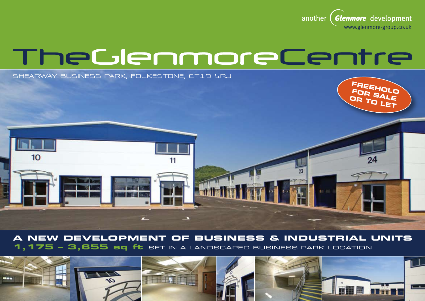

# TheGlenmoreCentre

**SHEARWAY BUSINESS PARK, FOLKESTONE, CT19 4RJ**



## **A New development of business & INDUSTRIAL units 1,175 – 3,655 sq ft** set in a landscaped business park location